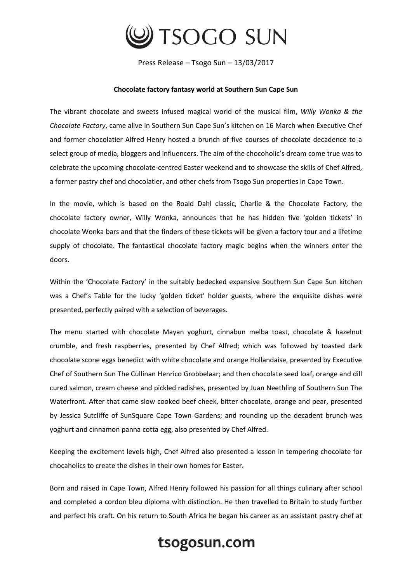

Press Release – Tsogo Sun – 13/03/2017

## **Chocolate factory fantasy world at Southern Sun Cape Sun**

The vibrant chocolate and sweets infused magical world of the musical film, *Willy Wonka & the Chocolate Factory*, came alive in Southern Sun Cape Sun's kitchen on 16 March when Executive Chef and former chocolatier Alfred Henry hosted a brunch of five courses of chocolate decadence to a select group of media, bloggers and influencers. The aim of the chocoholic's dream come true was to celebrate the upcoming chocolate-centred Easter weekend and to showcase the skills of Chef Alfred, a former pastry chef and chocolatier, and other chefs from Tsogo Sun properties in Cape Town.

In the movie, which is based on the Roald Dahl classic, Charlie & the Chocolate Factory, the chocolate factory owner, Willy Wonka, announces that he has hidden five 'golden tickets' in chocolate Wonka bars and that the finders of these tickets will be given a factory tour and a lifetime supply of chocolate. The fantastical chocolate factory magic begins when the winners enter the doors.

Within the 'Chocolate Factory' in the suitably bedecked expansive Southern Sun Cape Sun kitchen was a Chef's Table for the lucky 'golden ticket' holder guests, where the exquisite dishes were presented, perfectly paired with a selection of beverages.

The menu started with chocolate Mayan yoghurt, cinnabun melba toast, chocolate & hazelnut crumble, and fresh raspberries, presented by Chef Alfred; which was followed by toasted dark chocolate scone eggs benedict with white chocolate and orange Hollandaise, presented by Executive Chef of Southern Sun The Cullinan Henrico Grobbelaar; and then chocolate seed loaf, orange and dill cured salmon, cream cheese and pickled radishes, presented by Juan Neethling of Southern Sun The Waterfront. After that came slow cooked beef cheek, bitter chocolate, orange and pear, presented by Jessica Sutcliffe of SunSquare Cape Town Gardens; and rounding up the decadent brunch was yoghurt and cinnamon panna cotta egg, also presented by Chef Alfred.

Keeping the excitement levels high, Chef Alfred also presented a lesson in tempering chocolate for chocaholics to create the dishes in their own homes for Easter.

Born and raised in Cape Town, Alfred Henry followed his passion for all things culinary after school and completed a cordon bleu diploma with distinction. He then travelled to Britain to study further and perfect his craft. On his return to South Africa he began his career as an assistant pastry chef at

## tsogosun.com